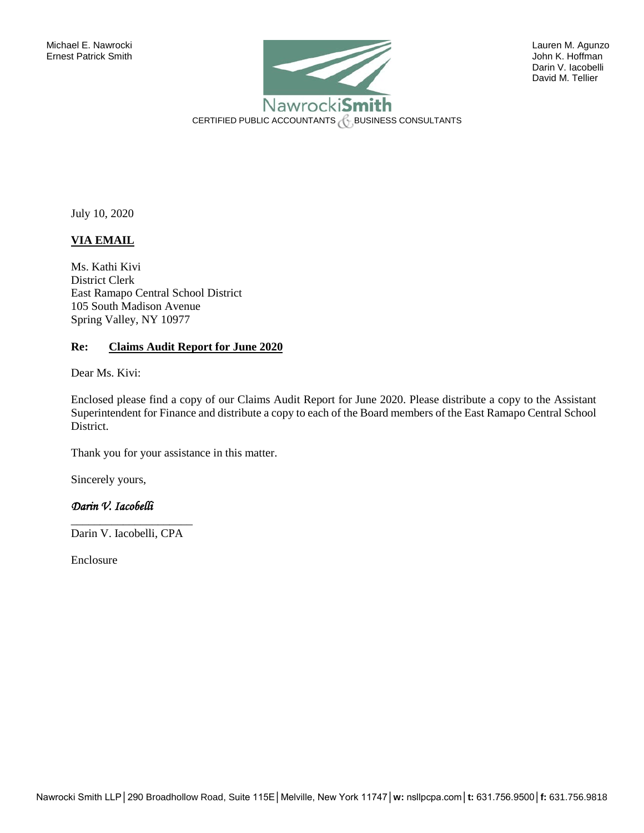

David M. Tellier

July 10, 2020

# **VIA EMAIL**

Ms. Kathi Kivi District Clerk East Ramapo Central School District 105 South Madison Avenue Spring Valley, NY 10977

## **Re: Claims Audit Report for June 2020**

Dear Ms. Kivi:

Enclosed please find a copy of our Claims Audit Report for June 2020. Please distribute a copy to the Assistant Superintendent for Finance and distribute a copy to each of the Board members of the East Ramapo Central School District.

Thank you for your assistance in this matter.

Sincerely yours,

# *Darin V. Iacobelli*

\_\_\_\_\_\_\_\_\_\_\_\_\_\_\_\_\_\_\_\_\_ Darin V. Iacobelli, CPA

Enclosure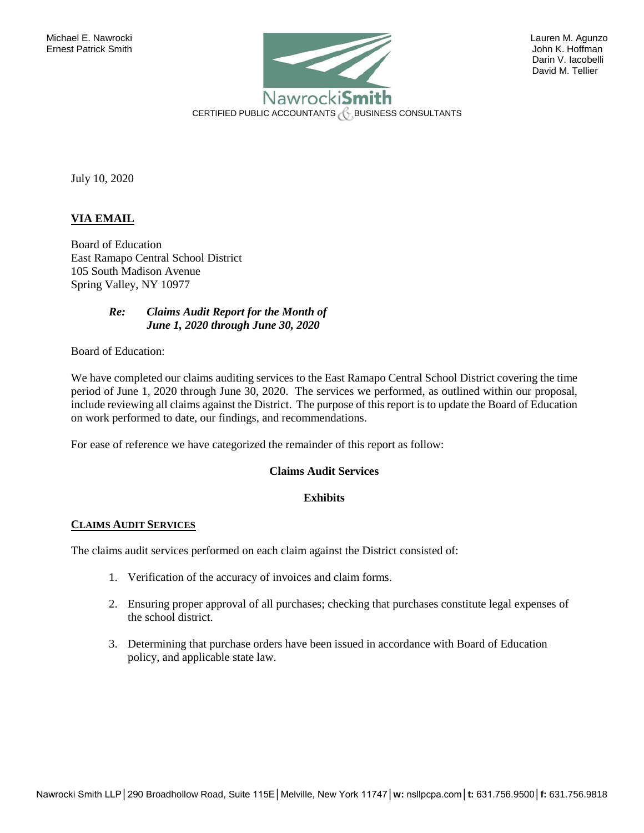

David M. Tellier

July 10, 2020

# **VIA EMAIL**

Board of Education East Ramapo Central School District 105 South Madison Avenue Spring Valley, NY 10977

## *Re: Claims Audit Report for the Month of June 1, 2020 through June 30, 2020*

Board of Education:

We have completed our claims auditing services to the East Ramapo Central School District covering the time period of June 1, 2020 through June 30, 2020. The services we performed, as outlined within our proposal, include reviewing all claims against the District. The purpose of this report is to update the Board of Education on work performed to date, our findings, and recommendations.

For ease of reference we have categorized the remainder of this report as follow:

## **Claims Audit Services**

### **Exhibits**

#### **CLAIMS AUDIT SERVICES**

The claims audit services performed on each claim against the District consisted of:

- 1. Verification of the accuracy of invoices and claim forms.
- 2. Ensuring proper approval of all purchases; checking that purchases constitute legal expenses of the school district.
- 3. Determining that purchase orders have been issued in accordance with Board of Education policy, and applicable state law.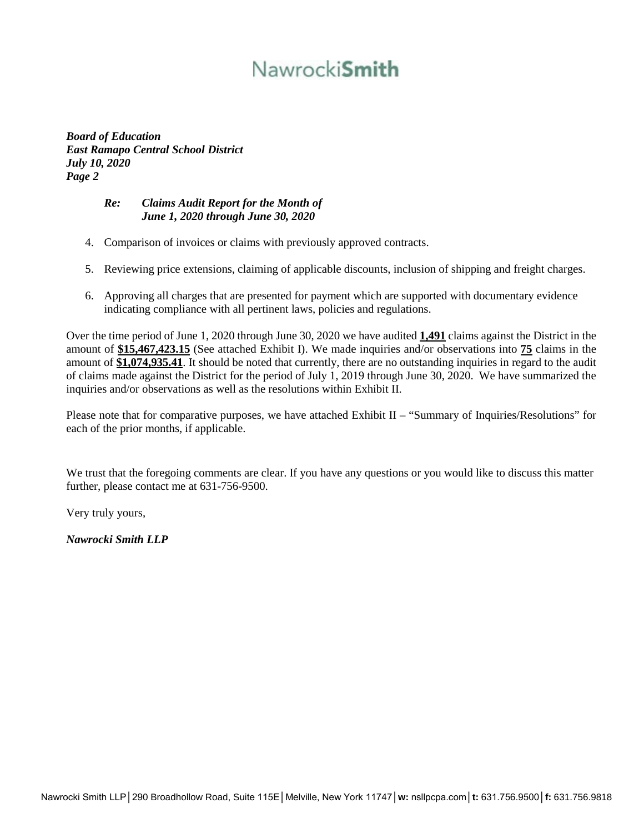# Nawrocki**Smith**

*Board of Education East Ramapo Central School District July 10, 2020 Page 2* 

# *Re: Claims Audit Report for the Month of June 1, 2020 through June 30, 2020*

- 4. Comparison of invoices or claims with previously approved contracts.
- 5. Reviewing price extensions, claiming of applicable discounts, inclusion of shipping and freight charges.
- 6. Approving all charges that are presented for payment which are supported with documentary evidence indicating compliance with all pertinent laws, policies and regulations.

Over the time period of June 1, 2020 through June 30, 2020 we have audited **1,491** claims against the District in the amount of **\$15,467,423.15** (See attached Exhibit I). We made inquiries and/or observations into **75** claims in the amount of **\$1,074,935.41**. It should be noted that currently, there are no outstanding inquiries in regard to the audit of claims made against the District for the period of July 1, 2019 through June 30, 2020. We have summarized the inquiries and/or observations as well as the resolutions within Exhibit II.

Please note that for comparative purposes, we have attached Exhibit II – "Summary of Inquiries/Resolutions" for each of the prior months, if applicable.

We trust that the foregoing comments are clear. If you have any questions or you would like to discuss this matter further, please contact me at 631-756-9500.

Very truly yours,

*Nawrocki Smith LLP*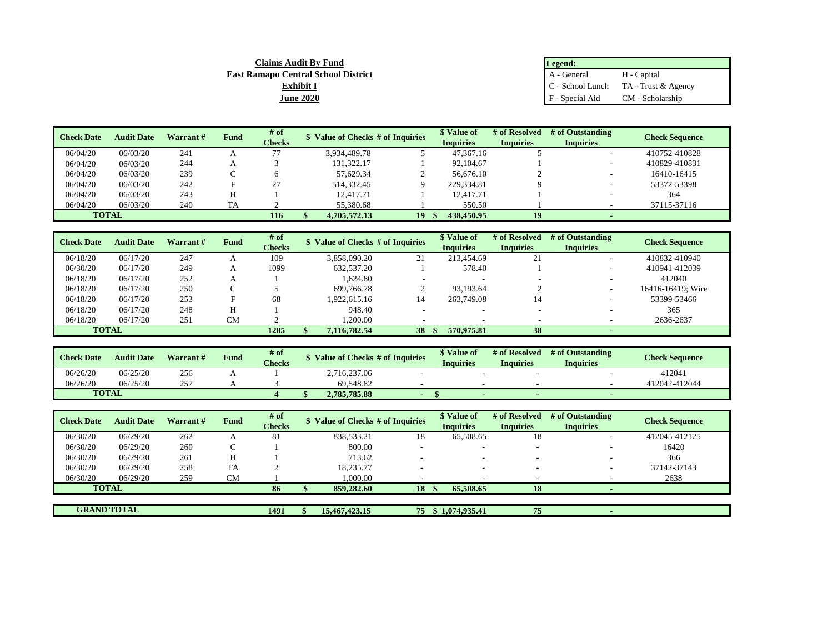| <b>Claims Audit By Fund</b>                | Legend:         |                                        |
|--------------------------------------------|-----------------|----------------------------------------|
| <b>East Ramapo Central School District</b> | A - General     | H - Capital                            |
| Exhibit I                                  |                 | $C -$ School Lunch TA - Trust & Agency |
| <b>June 2020</b>                           | F - Special Aid | CM - Scholarship                       |

| <b>Check Date</b> | <b>Audit Date</b> | Warrant # | <b>Fund</b> | # of          | \$ Value of Checks # of Inquiries |    | \$ Value of      | # of Resolved    | # of Outstanding | <b>Check Sequence</b> |
|-------------------|-------------------|-----------|-------------|---------------|-----------------------------------|----|------------------|------------------|------------------|-----------------------|
|                   |                   |           |             | <b>Checks</b> |                                   |    | <b>Inquiries</b> | <b>Inquiries</b> | <b>Inquiries</b> |                       |
| 06/04/20          | 06/03/20          | 241       |             | 77            | 3.934.489.78                      |    | 47.367.16        |                  |                  | 410752-410828         |
| 06/04/20          | 06/03/20          | 244       |             |               | 131.322.17                        |    | 92,104.67        |                  |                  | 410829-410831         |
| 06/04/20          | 06/03/20          | 239       |             |               | 57.629.34                         |    | 56,676.10        |                  |                  | 16410-16415           |
| 06/04/20          | 06/03/20          | 242       |             | 27            | 514.332.45                        |    | 229.334.81       |                  |                  | 53372-53398           |
| 06/04/20          | 06/03/20          | 243       |             |               | 12.417.71                         |    | 12.417.71        |                  |                  | 364                   |
| 06/04/20          | 06/03/20          | 240       | TA          |               | 55,380.68                         |    | 550.50           |                  |                  | 37115-37116           |
|                   | <b>TOTAL</b>      |           |             | 116           | 4,705,572,13                      | 19 | 438,450.95       | 19               |                  |                       |

| <b>Check Date</b> | <b>Audit Date</b> | Warrant # | <b>Fund</b> | # of<br><b>Checks</b> | \$ Value of Checks # of Inquiries |    | \$ Value of<br><b>Inquiries</b> | # of Resolved<br><b>Inquiries</b> | # of Outstanding<br><b>Inquiries</b> | <b>Check Sequence</b> |
|-------------------|-------------------|-----------|-------------|-----------------------|-----------------------------------|----|---------------------------------|-----------------------------------|--------------------------------------|-----------------------|
| 06/18/20          | 06/17/20          | 247       |             | 109                   | 3.858.090.20                      | 21 | 213.454.69                      | 21                                | -                                    | 410832-410940         |
| 06/30/20          | 06/17/20          | 249       |             | 1099                  | 632,537.20                        |    | 578.40                          |                                   |                                      | 410941-412039         |
| 06/18/20          | 06/17/20          | 252       |             |                       | 1.624.80                          |    |                                 |                                   |                                      | 412040                |
| 06/18/20          | 06/17/20          | 250       |             |                       | 699,766.78                        |    | 93.193.64                       |                                   |                                      | 16416-16419; Wire     |
| 06/18/20          | 06/17/20          | 253       |             | 68                    | .922.615.16                       | 14 | 263,749.08                      | 14                                |                                      | 53399-53466           |
| 06/18/20          | 06/17/20          | 248       |             |                       | 948.40                            |    |                                 |                                   |                                      | 365                   |
| 06/18/20          | 06/17/20          | 251       | CМ          |                       | .200.00                           |    |                                 |                                   |                                      | 2636-2637             |
|                   | <b>TOTAL</b>      |           |             | 1285                  | 7,116,782.54                      | 38 | 570.975.81                      | 38                                |                                      |                       |

| <b>Check Date</b> | <b>Audit Date</b> | Warrant # | Fund | # of<br><b>Checks</b> | \$ Value of Checks # of Inquiries | <i><b>*</b></i> Value of<br><b>Inquiries</b> | # of Resolved<br>Inquiries | # of Outstanding<br>Inquiries | <b>Check Sequence</b> |
|-------------------|-------------------|-----------|------|-----------------------|-----------------------------------|----------------------------------------------|----------------------------|-------------------------------|-----------------------|
| 06/26/20          | 06/25/20          | 256       |      |                       | 2,716,237.06                      |                                              |                            |                               | 412041                |
| 06/26/20          | 06/25/20          | 257       |      |                       | 69.548.82                         |                                              |                            |                               | 412042-412044         |
| <b>TOTAL</b>      |                   |           |      |                       | 2,785,785.88                      |                                              |                            |                               |                       |

| <b>Check Date</b> | <b>Audit Date</b>  | Warrant# | <b>Fund</b> | # of<br><b>Checks</b> | \$ Value of Checks # of Inquiries |    | \$ Value of<br><b>Inquiries</b> | # of Resolved<br><b>Inquiries</b> | # of Outstanding<br><b>Inquiries</b> | <b>Check Sequence</b> |
|-------------------|--------------------|----------|-------------|-----------------------|-----------------------------------|----|---------------------------------|-----------------------------------|--------------------------------------|-----------------------|
| 06/30/20          | 06/29/20           | 262      |             | 81                    | 838.533.21                        | 18 | 65,508.65                       | 18                                | $\overline{\phantom{a}}$             | 412045-412125         |
| 06/30/20          | 06/29/20           | 260      |             |                       | 800.00                            |    | ۰                               | $\overline{\phantom{a}}$          |                                      | 16420                 |
| 06/30/20          | 06/29/20           | 261      |             |                       | 713.62                            |    |                                 |                                   |                                      | 366                   |
| 06/30/20          | 06/29/20           | 258      | <b>TA</b>   |                       | 18.235.77                         |    | ۰                               | -                                 | $\overline{\phantom{0}}$             | 37142-37143           |
| 06/30/20          | 06/29/20           | 259      | CМ          |                       | .000.00                           |    |                                 |                                   |                                      | 2638                  |
|                   | <b>TOTAL</b>       |          |             | 86                    | 859,282.60                        | 18 | 65,508.65                       | 18                                |                                      |                       |
|                   |                    |          |             |                       |                                   |    |                                 |                                   |                                      |                       |
|                   | <b>GRAND TOTAL</b> |          |             | 1491                  | 15,467,423.15                     | 75 | \$1,074,935.41                  | 75                                |                                      |                       |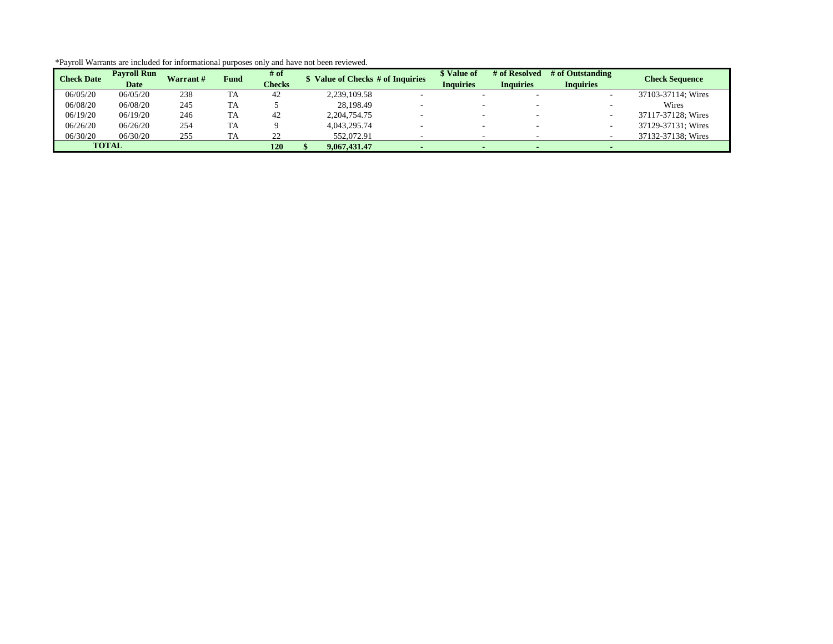| <b>Check Date</b> | <b>Pavroll Run</b><br><b>Date</b> | <b>Warrant#</b> | <b>Fund</b> | # of<br><b>Checks</b> |              | Value of Checks # of Inquiries | \$ Value of<br><b>Inquiries</b> | # of Resolved<br><b>Inquiries</b> | # of Outstanding<br><b>Inquiries</b> | <b>Check Sequence</b> |
|-------------------|-----------------------------------|-----------------|-------------|-----------------------|--------------|--------------------------------|---------------------------------|-----------------------------------|--------------------------------------|-----------------------|
| 06/05/20          | 06/05/20                          | 238             | TA          | 42                    | 2.239.109.58 |                                |                                 |                                   |                                      | 37103-37114: Wires    |
| 06/08/20          | 06/08/20                          | 245             | TA          |                       | 28.198.49    |                                |                                 |                                   |                                      | Wires                 |
| 06/19/20          | 06/19/20                          | 246             | TA          | 42                    | 2.204.754.75 |                                |                                 |                                   |                                      | 37117-37128; Wires    |
| 06/26/20          | 06/26/20                          | 254             | TA          |                       | 4,043,295.74 |                                |                                 | $\sim$                            |                                      | 37129-37131; Wires    |
| 06/30/20          | 06/30/20                          | 255             | tΑ          | 22                    | 552,072.91   |                                |                                 |                                   |                                      | 37132-37138; Wires    |
|                   | <b>TOTAL</b>                      |                 |             | 120                   | 9.067.431.47 |                                |                                 |                                   |                                      |                       |

\*Payroll Warrants are included for informational purposes only and have not been reviewed.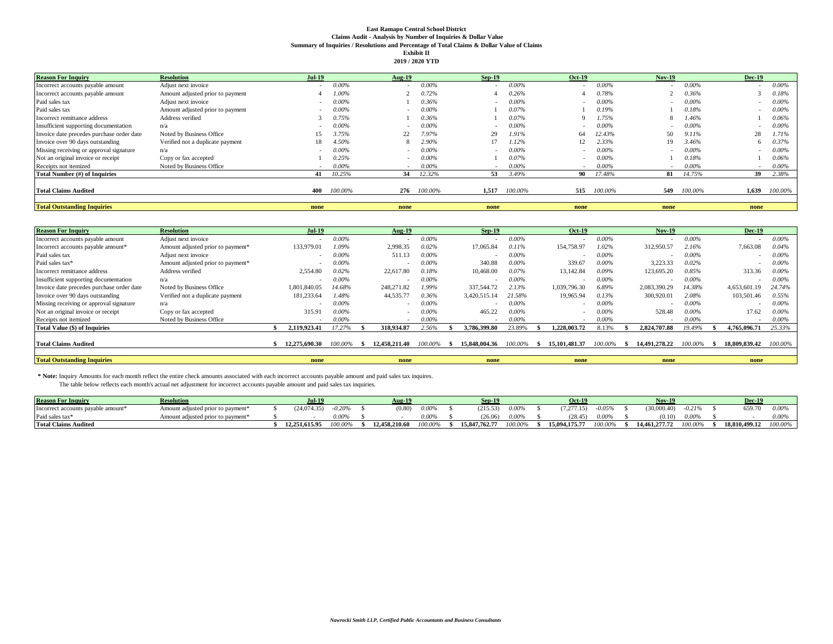#### **East Ramapo Central School District Claims Audit - Analysis by Number of Inquiries & Dollar Value Summary of Inquiries / Resolutions and Percentage of Total Claims & Dollar Value of Claims Exhibit II**

| <b>Reason For Inquiry</b>                 | <b>Resolution</b>                | <b>Jul-19</b> |          | <b>Aug-19</b> |             | $Sep-19$                 |          | <b>Oct-19</b>            |          | <b>Nov-19</b> |          | <b>Dec-19</b> |          |
|-------------------------------------------|----------------------------------|---------------|----------|---------------|-------------|--------------------------|----------|--------------------------|----------|---------------|----------|---------------|----------|
| Incorrect accounts payable amount         | Adjust next invoice              |               | $0.00\%$ |               | $0.00\%$    |                          | $0.00\%$ |                          | $0.00\%$ |               | $0.00\%$ | ۰.            | $0.00\%$ |
| Incorrect accounts payable amount         | Amount adjusted prior to payment |               | 1.00%    |               | 0.72%       |                          | 0.26%    |                          | 0.78%    |               | 0.36%    |               | 0.18%    |
| Paid sales tax                            | Adjust next invoice              |               | 0.00%    |               | 0.36%       |                          | $0.00\%$ |                          | $0.00\%$ |               | 0.00%    |               | $0.00\%$ |
| Paid sales tax                            | Amount adjusted prior to payment | $\sim$        | 0.00%    |               | $0.00\%$    |                          | 0.07%    |                          | 0.19%    |               | 0.18%    | ۰.            | $0.00\%$ |
| Incorrect remittance address              | Address verified                 |               | 0.75%    |               | 0.36%       |                          | 0.07%    |                          | 1.75%    |               | 1.46%    |               | 0.06%    |
| Insufficient supporting documentation     | n/a                              |               | 0.00%    |               | $0.00\%$    |                          | $0.00\%$ |                          | 0.00%    |               | 0.00%    |               | $0.00\%$ |
| Invoice date precedes purchase order date | Noted by Business Office         | 15            | 3.75%    | 22            | 7.97%       | 29                       | 1.91%    | 64                       | 12.43%   | 50            | 9.11%    | 28            | 1.71%    |
| Invoice over 90 days outstanding          | Verified not a duplicate payment | 18            | 4.50%    |               | 2.90%       | 17                       | 1.12%    |                          | 2.33%    | 19            | 3.46%    | 6             | 0.37%    |
| Missing receiving or approval signature   | n/a                              |               | 0.00%    |               | $0.00\%$    | $\overline{\phantom{a}}$ | $0.00\%$ | $\overline{\phantom{a}}$ | 0.00%    |               | 0.00%    | -             | $0.00\%$ |
| Not an original invoice or receipt        | Copy or fax accepted             |               | 0.25%    |               | $0.00\%$    |                          | 0.07%    |                          | 0.00%    |               | 0.18%    |               | 0.06%    |
| Receipts not itemized                     | Noted by Business Office         |               | $0.00\%$ |               | $0.00\%$    |                          | $0.00\%$ |                          | 0.00%    |               | 0.00%    |               | $0.00\%$ |
| Total Number (#) of Inquiries             |                                  | 41            | 10.25%   | 34            | 12.32%      | 53                       | 3.49%    | 90                       | 17.48%   | 81            | 14.75%   | 39            | 2.38%    |
|                                           |                                  |               |          |               |             |                          |          |                          |          |               |          |               |          |
| <b>Total Claims Audited</b>               |                                  | 400           | 100.00%  |               | 276 100.00% | 1.517                    | 100.00%  | 515                      | 100.00%  | 549           | 100.00%  | 1,639         | 100.00%  |
|                                           |                                  |               |          |               |             |                          |          |                          |          |               |          |               |          |
| <b>Total Outstanding Inquiries</b>        |                                  | none          |          | none          |             | none                     |          | none                     |          | none          |          | none          |          |

| <b>Reason For Inquiry</b>                 | <b>Resolution</b>                 | <b>Jul-19</b> |          |      | Aug-19        |          | $Sep-19$      |          | <b>Oct-19</b> |          | <b>Nov-19</b> |         | <b>Dec-19</b> |          |
|-------------------------------------------|-----------------------------------|---------------|----------|------|---------------|----------|---------------|----------|---------------|----------|---------------|---------|---------------|----------|
| Incorrect accounts payable amount         | Adjust next invoice               |               | $0.00\%$ |      |               | $0.00\%$ |               | $0.00\%$ |               | 0.00%    |               | 0.00%   | ۰.            | $0.00\%$ |
| Incorrect accounts payable amount*        | Amount adjusted prior to payment* | 133,979.01    | 1.09%    |      | 2,998.35      | 0.02%    | 17,065.84     | 0.11%    | 154,758.97    | 1.02%    | 312,950.57    | 2.16%   | 7,663.08      | 0.04%    |
| Paid sales tax                            | Adjust next invoice               |               | 0.00%    |      | 511.13        | $0.00\%$ |               | $0.00\%$ |               | $0.00\%$ |               | 0.00%   |               | $0.00\%$ |
| Paid sales tax*                           | Amount adjusted prior to payment* |               | 0.00%    |      |               | 0.00%    | 340.88        | $0.00\%$ | 339.67        | 0.00%    | 3,223.33      | 0.02%   | ۰.            | $0.00\%$ |
| Incorrect remittance address              | Address verified                  | 2.554.80      | 0.02%    |      | 22,617.80     | 0.18%    | 10,468.00     | 0.07%    | 13,142.84     | 0.09%    | 123,695.20    | 0.85%   | 313.36        | $0.00\%$ |
| Insufficient supporting documentation     | n/a                               |               | $0.00\%$ |      |               | $0.00\%$ |               | $0.00\%$ |               | $0.00\%$ |               | 0.00%   | -             | $0.00\%$ |
| Invoice date precedes purchase order date | Noted by Business Office          | 1,801,840.05  | 14.68%   |      | 248,271.82    | 1.99%    | 337,544.72    | 2.13%    | 1,039,796.30  | 6.89%    | 2.083.390.29  | 14.38%  | 4,653,601.19  | 24.74%   |
| Invoice over 90 days outstanding          | Verified not a duplicate payment  | 181.233.64    | 1.48%    |      | 44,535.77     | 0.36%    | 3.420.515.14  | 21.58%   | 19.965.94     | 0.13%    | 300,920.01    | 2.08%   | 103,501.46    | 0.55%    |
| Missing receiving or approval signature   | n/a                               |               | 0.00%    |      |               | $0.00\%$ |               | $0.00\%$ |               | 0.00%    |               | 0.00%   | ۰             | $0.00\%$ |
| Not an original invoice or receipt        | Copy or fax accepted              | 315.91        | 0.00%    |      |               | 0.00%    | 465.22        | 0.00%    |               | $0.00\%$ | 528.48        | 0.00%   | 17.62         | $0.00\%$ |
| Receipts not itemized                     | Noted by Business Office          |               | 0.00%    |      |               | 0.00%    |               | 0.00%    |               | $0.00\%$ |               | 0.00%   | -             | $0.00\%$ |
| Total Value (\$) of Inquiries             |                                   | 2.119.923.41  | 17.27%   |      | 318.934.87    | 2.56%    | 3,786,399.80  | 23.89%   | 1.228.003.72  | 8.13%    | 2.824.707.88  | 19.49%  | 4,765,096.71  | 25.33%   |
|                                           |                                   |               |          |      |               |          |               |          |               |          |               |         |               |          |
| <b>Total Claims Audited</b>               |                                   | 12,275,690.30 | 100.00%  | - 76 | 12,458,211.40 | 100.00%  | 15,848,004.36 | 100.00%  | 15.101.481.37 | 100.00%  | 14.491.278.22 | 100.00% | 18,809,839.42 | 100.00%  |
|                                           |                                   |               |          |      |               |          |               |          |               |          |               |         |               |          |
| <b>Total Outstanding Inquiries</b>        |                                   | none          |          |      | none          |          | none          |          | none          |          | none          |         | none          |          |

 **\* Note:** Inquiry Amounts for each month reflect the entire check amounts associated with each incorrect accounts payable amount and paid sales tax inquires. The table below reflects each month's actual net adjustment for incorrect accounts payable amount and paid sales tax inquiries.

| <b>Reason For Inquiry</b>                      | <b>Resolution</b>                 | $JII$ -19     |          | Aug-19        |            | $Sep-19$      |          | Oct-19           |          | <b>Nov-19</b>  |          | $Dec-1$       |         |
|------------------------------------------------|-----------------------------------|---------------|----------|---------------|------------|---------------|----------|------------------|----------|----------------|----------|---------------|---------|
| Incorrect accounts payable amount <sup>*</sup> | Amount adjusted prior to payment* | (24.074.35)   | $-0.20%$ | (0.80)        | $0.00\%$   | (215.53)      | $0.00\%$ | (7.277.15)       | $-0.05%$ | (30.000.40)    | $-0.21%$ | 659.7U        | 0.009   |
| Paid sales tax*                                | Amount adjusted prior to payment* |               | .00°     |               | 0.00%      | 26.06         | $0.00\%$ | $.28.45^{\circ}$ | 0.00%    | $0.10^{\circ}$ | 0.00%    |               | 0.00%   |
| <b>Total Claims Audited</b>                    |                                   | 12,251,615.95 | $0.00\%$ | 12,458,210.60 | $100.00\%$ | 15,847,762.77 | 100.00%  | 15,094,175.77    | 100.00%  | 14.461.277.72  | '00.00%  | 18.810.499.12 | 100.00% |